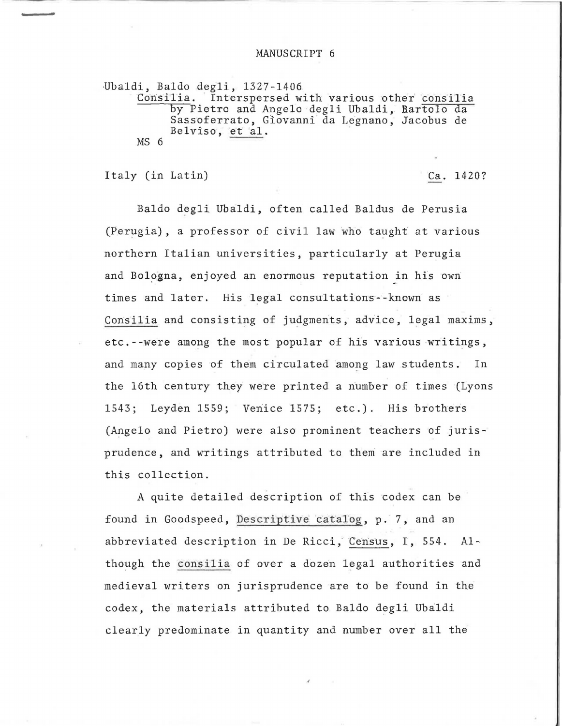## MANUSCRIPT 6

Ubaldi, Baldo degli, 1327-1406<br>Consilia. Interspersed w Interspersed with various other consilia by Pietro and Angelo degli Ubaldi, Bartolo da Sassoferrato, Giovanni da Legnano, Jacobus de Belviso, et al. MS 6

Italy (in Latin) Ca. 1420?

Baldo degli Ubaldi, often called Baldus de Perusia (Perugia), a professor of civil law who taught at various northern Italian universities, particularly at Perugia and Bologna, enjoyed an enormous reputation in his own times and later. His legal consultations--known as Consilia and consisting of judgments, advice, legal maxims, etc.--were among the most popular of his various writings, and many copies of them circulated among law students. In the 16th century they were printed a number of times (Lyons 1543; Leyden 1559; Venice 1575; etc.). His brothers (Angelo and Pietro) were also prominent teachers of jurisprudence, and writings attributed to them are included in this collection.

A quite detailed description of this codex can be found in Goodspeed, Descriptive catalog, p. 7, and an abbreviated description in De Ricci; Census, I, 554. Although the consilia of over a dozen legal authorities and medieval writers on jurisprudence are to be found in the codex, the materials attributed to Baldo degli Ubaldi clearly predominate in quantity and number over all the

*A*